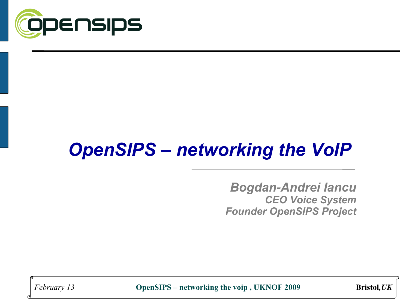

## *OpenSIPS – networking the VoIP*

*Bogdan-Andrei Iancu CEO Voice System Founder OpenSIPS Project*

*February 13* **OpenSIPS – networking the voip , UKNOF 2009 Bristol***,UK*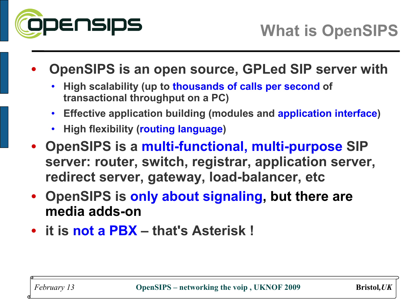

- **OpenSIPS is an open source, GPLed SIP server with**
	- **High scalability (up to thousands of calls per second of transactional throughput on a PC)**
	- **Effective application building (modules and application interface)**
	- **High flexibility (routing language)**
- **OpenSIPS is a multi-functional, multi-purpose SIP server: router, switch, registrar, application server, redirect server, gateway, load-balancer, etc**
- **OpenSIPS is only about signaling, but there are media adds-on**
- **it is not a PBX that's Asterisk !**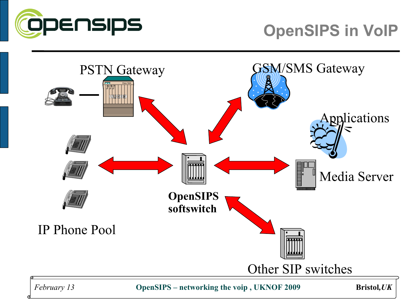

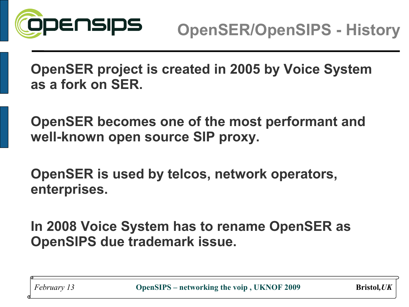

**OpenSER project is created in 2005 by Voice System as a fork on SER.**

**OpenSER becomes one of the most performant and well-known open source SIP proxy.**

**OpenSER is used by telcos, network operators, enterprises.**

**In 2008 Voice System has to rename OpenSER as OpenSIPS due trademark issue.**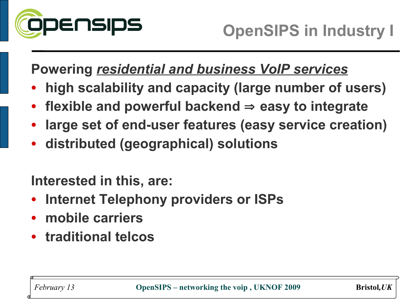

**Powering** *residential and business VoIP services*

- **high scalability and capacity (large number of users)**
- **flexible and powerful backend** ⇒ **easy to integrate**
- **large set of end-user features (easy service creation)**
- **distributed (geographical) solutions**

**Interested in this, are:**

- **Internet Telephony providers or ISPs**
- **mobile carriers**
- **traditional telcos**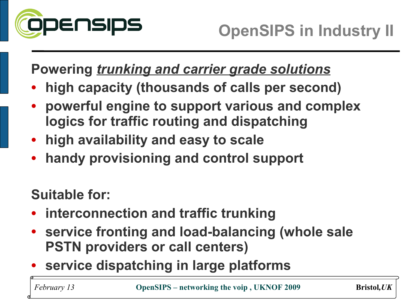

**Powering** *trunking and carrier grade solutions*

- **high capacity (thousands of calls per second)**
- **powerful engine to support various and complex logics for traffic routing and dispatching**
- **high availability and easy to scale**
- **handy provisioning and control support**

**Suitable for:**

- **interconnection and traffic trunking**
- **service fronting and load-balancing (whole sale PSTN providers or call centers)**
- **service dispatching in large platforms**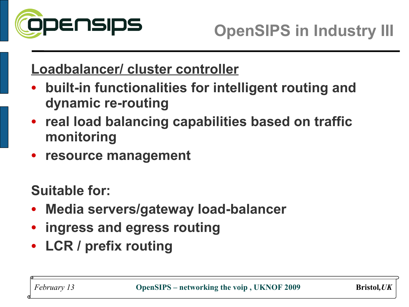

#### **Loadbalancer/ cluster controller**

- **built-in functionalities for intelligent routing and dynamic re-routing**
- **real load balancing capabilities based on traffic monitoring**
- **resource management**

**Suitable for:**

- **Media servers/gateway load-balancer**
- **ingress and egress routing**
- **LCR / prefix routing**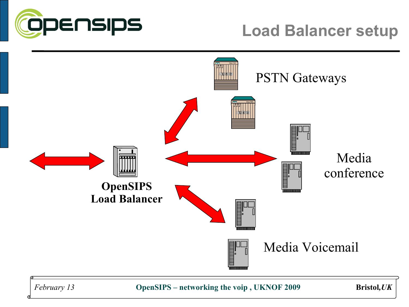



*February 13* **OpenSIPS – networking the voip , UKNOF 2009 Bristol***,UK*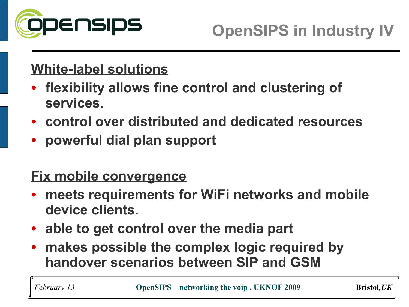

## **White-label solutions**

- **flexibility allows fine control and clustering of services.**
- **control over distributed and dedicated resources**
- **powerful dial plan support**

#### **Fix mobile convergence**

- **meets requirements for WiFi networks and mobile device clients.**
- **able to get control over the media part**
- o<br>O • **makes possible the complex logic required by handover scenarios between SIP and GSM**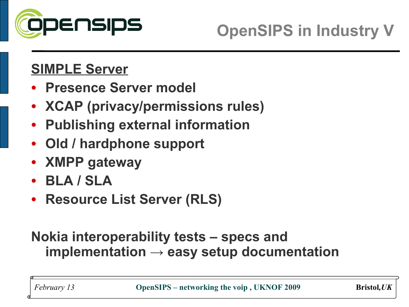

## **SIMPLE Server**

- **Presence Server model**
- **XCAP (privacy/permissions rules)**
- **Publishing external information**
- **Old / hardphone support**
- **XMPP gateway**
- **BLA / SLA**
- **Resource List Server (RLS)**

#### **Nokia interoperability tests – specs and implementation → easy setup documentation**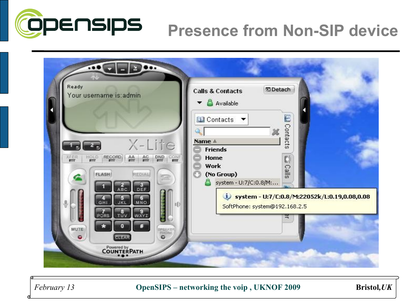

## **Presence from Non-SIP device**



Bristol, UK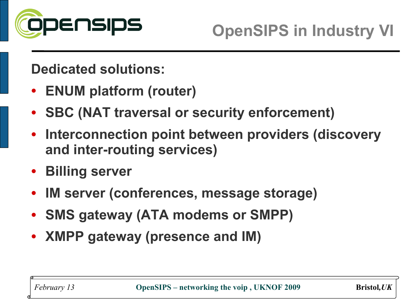

**Dedicated solutions:**

- **ENUM platform (router)**
- **SBC (NAT traversal or security enforcement)**
- **Interconnection point between providers (discovery and inter-routing services)**
- **Billing server**
- **IM server (conferences, message storage)**
- **SMS gateway (ATA modems or SMPP)**
- **XMPP gateway (presence and IM)**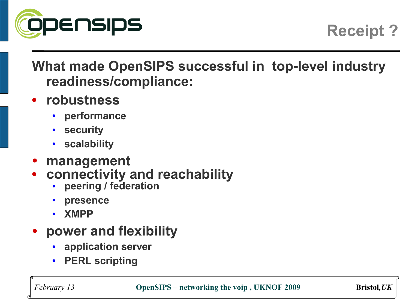

**Receipt ?**

## **What made OpenSIPS successful in top-level industry readiness/compliance:**

- **robustness**
	- **performance**
	- **security**
	- **scalability**
- **management**
- **connectivity and reachability**
	- **peering / federation**
	- **presence**
	- **XMPP**
- **power and flexibility**
	- **application server**
	- **PERL scripting**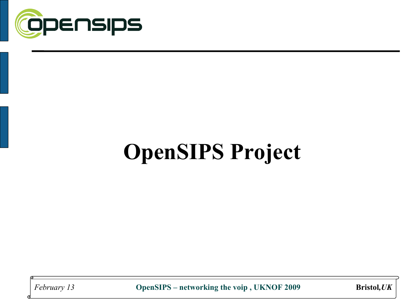

# **OpenSIPS Project**

February 13

OpenSIPS - networking the voip, UKNOF 2009

**Bristol**, UK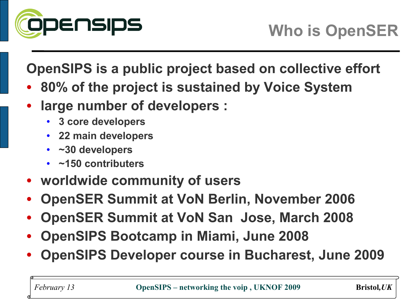

**OpenSIPS is a public project based on collective effort** 

- **80% of the project is sustained by Voice System**
- **large number of developers :**
	- **3 core developers**
	- **22 main developers**
	- **~30 developers**
	- **~150 contributers**
- **worldwide community of users**
- **OpenSER Summit at VoN Berlin, November 2006**
- **OpenSER Summit at VoN San Jose, March 2008**
- **OpenSIPS Bootcamp in Miami, June 2008**
- **OpenSIPS Developer course in Bucharest, June 2009**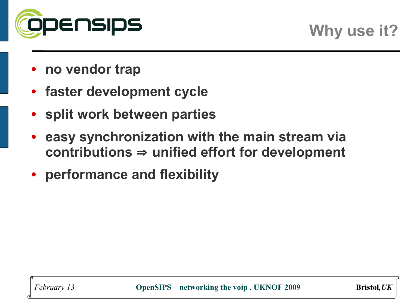

- **no vendor trap**
- **faster development cycle**
- **split work between parties**
- **easy synchronization with the main stream via contributions** ⇒ **unified effort for development**
- **performance and flexibility**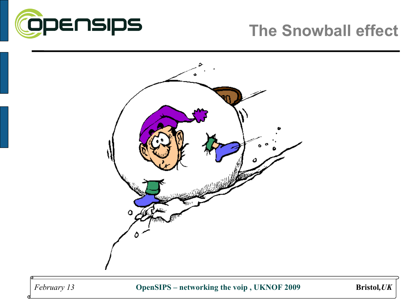

## **The Snowball effect**



February 13

Bristol, UK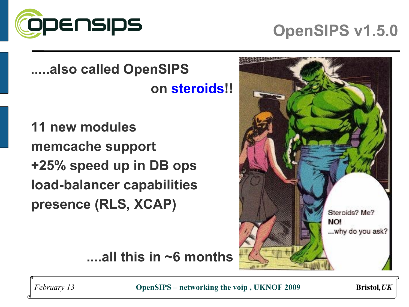

## **OpenSIPS v1.5.0**

**.....also called OpenSIPS on steroids!!**

**11 new modules memcache support +25% speed up in DB ops load-balancer capabilities presence (RLS, XCAP)**



**....all this in ~6 months**

*February 13* **OpenSIPS – networking the voip, UKNOF 2009** Bristol, UK